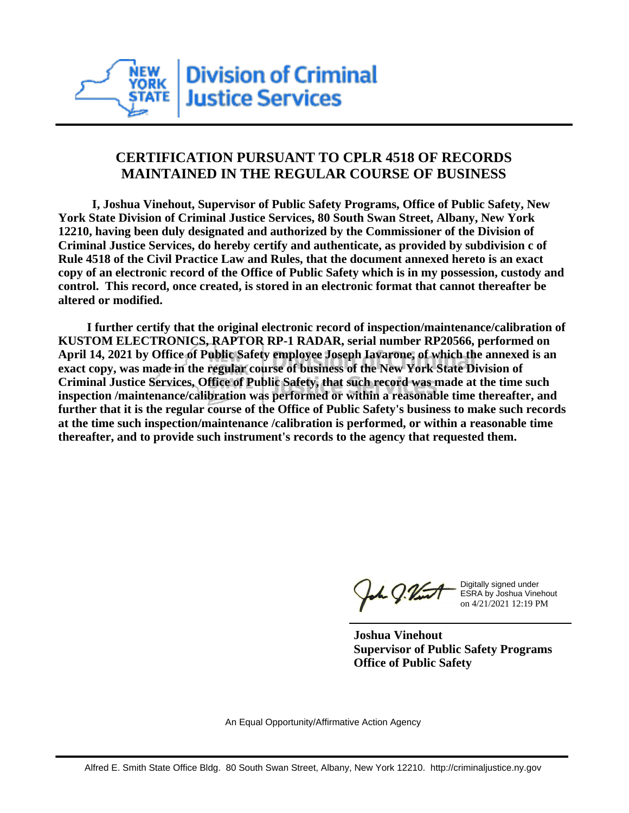

## **CERTIFICATION PURSUANT TO CPLR 4518 OF RECORDS MAINTAINED IN THE REGULAR COURSE OF BUSINESS**

 **I, Joshua Vinehout, Supervisor of Public Safety Programs, Office of Public Safety, New York State Division of Criminal Justice Services, 80 South Swan Street, Albany, New York 12210, having been duly designated and authorized by the Commissioner of the Division of Criminal Justice Services, do hereby certify and authenticate, as provided by subdivision c of Rule 4518 of the Civil Practice Law and Rules, that the document annexed hereto is an exact copy of an electronic record of the Office of Public Safety which is in my possession, custody and control. This record, once created, is stored in an electronic format that cannot thereafter be altered or modified.**

 **I further certify that the original electronic record of inspection/maintenance/calibration of KUSTOM ELECTRONICS, RAPTOR RP-1 RADAR, serial number RP20566, performed on April 14, 2021 by Office of Public Safety employee Joseph Iavarone, of which the annexed is an exact copy, was made in the regular course of business of the New York State Division of Criminal Justice Services, Office of Public Safety, that such record was made at the time such inspection /maintenance/calibration was performed or within a reasonable time thereafter, and further that it is the regular course of the Office of Public Safety's business to make such records at the time such inspection/maintenance /calibration is performed, or within a reasonable time thereafter, and to provide such instrument's records to the agency that requested them.**

the g. Vint

Digitally signed under ESRA by Joshua Vinehout on 4/21/2021 12:19 PM

**Joshua Vinehout Supervisor of Public Safety Programs Office of Public Safety**

An Equal Opportunity/Affirmative Action Agency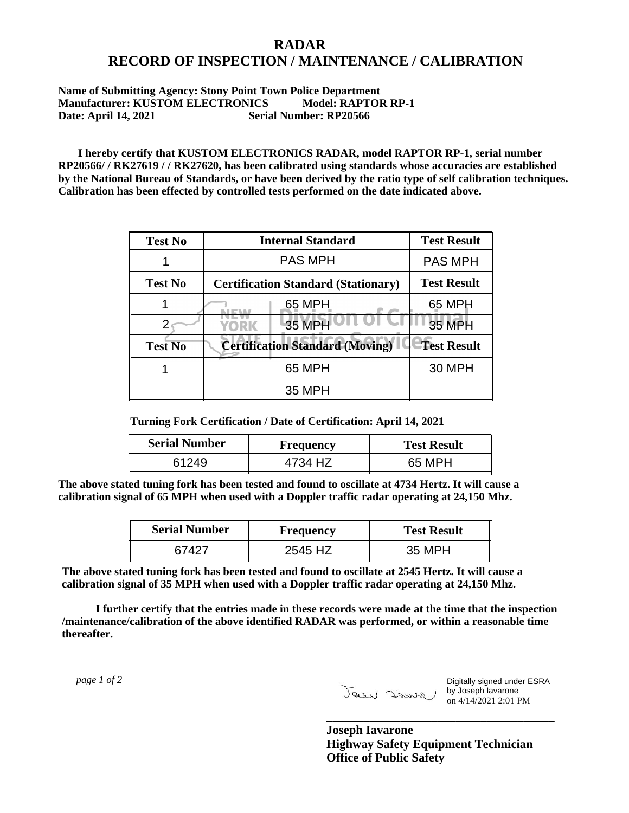## **RADAR RECORD OF INSPECTION / MAINTENANCE / CALIBRATION**

## **Name of Submitting Agency: Stony Point Town Police Department Manufacturer: KUSTOM ELECTRONICS Model: RAPTOR RP-1 Date: April 14, 2021 Serial Number: RP20566**

 **I hereby certify that KUSTOM ELECTRONICS RADAR, model RAPTOR RP-1, serial number RP20566/ / RK27619 / / RK27620, has been calibrated using standards whose accuracies are established by the National Bureau of Standards, or have been derived by the ratio type of self calibration techniques. Calibration has been effected by controlled tests performed on the date indicated above.**

| <b>Test No</b> | <b>Internal Standard</b>                   | <b>Test Result</b> |
|----------------|--------------------------------------------|--------------------|
|                | <b>PAS MPH</b>                             | <b>PAS MPH</b>     |
| <b>Test No</b> | <b>Certification Standard (Stationary)</b> | <b>Test Result</b> |
|                | 65 MPH                                     | 65 MPH             |
|                | 35 MPH<br>YORK                             | <b>35 MPH</b>      |
| <b>Test No</b> | <b>Certification Standard (Moving)</b>     | <b>Test Result</b> |
|                | 65 MPH                                     | <b>30 MPH</b>      |
|                | 35 MPH                                     |                    |

**Turning Fork Certification / Date of Certification: April 14, 2021**

| <b>Serial Number</b> | Frequency | <b>Test Result</b> |
|----------------------|-----------|--------------------|
|                      | 4734 HZ   | 65 MPH             |

**The above stated tuning fork has been tested and found to oscillate at 4734 Hertz. It will cause a calibration signal of 65 MPH when used with a Doppler traffic radar operating at 24,150 Mhz.**

| <b>Serial Number</b> | <b>Frequency</b> | <b>Test Result</b> |
|----------------------|------------------|--------------------|
| 67427                | 2545 HZ          | 35 MPH             |

**The above stated tuning fork has been tested and found to oscillate at 2545 Hertz. It will cause a calibration signal of 35 MPH when used with a Doppler traffic radar operating at 24,150 Mhz.**

 **I further certify that the entries made in these records were made at the time that the inspection /maintenance/calibration of the above identified RADAR was performed, or within a reasonable time thereafter.**

 *page 1 of 2* 

Digitally signed under ESRA by Joseph Iavarone on 4/14/2021 2:01 PM

**Joseph Iavarone Highway Safety Equipment Technician Office of Public Safety**

**\_\_\_\_\_\_\_\_\_\_\_\_\_\_\_\_\_\_\_\_\_\_\_\_\_\_\_\_\_\_\_\_\_\_\_\_\_**